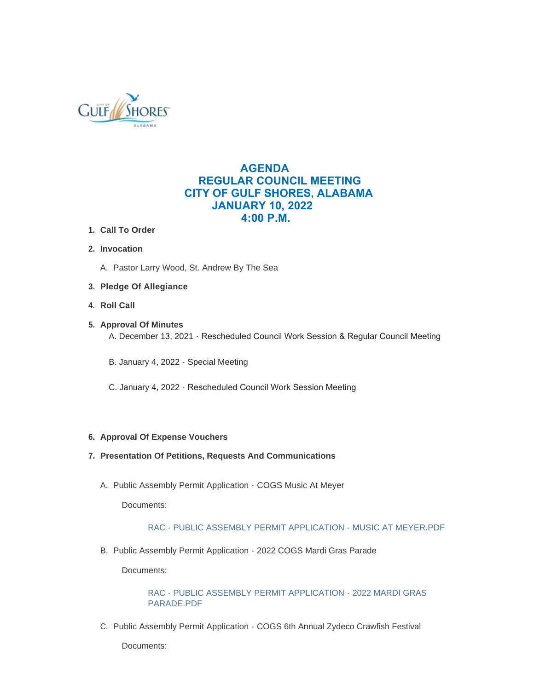

# **AGENDA REGULAR COUNCIL MEETING CITY OF GULF SHORES, ALABAMA JANUARY 10, 2022 4:00 P.M.**

- **Call To Order 1.**
- **Invocation 2.**
	- A. Pastor Larry Wood, St. Andrew By The Sea

# **Pledge Of Allegiance 3.**

**Roll Call 4.**

# **Approval Of Minutes 5.**

A. December 13, 2021 - Rescheduled Council Work Session & Regular Council Meeting

- B. January 4, 2022 Special Meeting
- C. January 4, 2022 Rescheduled Council Work Session Meeting

#### **Approval Of Expense Vouchers 6.**

#### **Presentation Of Petitions, Requests And Communications 7.**

A. Public Assembly Permit Application - COGS Music At Meyer

Documents:

# [RAC - PUBLIC ASSEMBLY PERMIT APPLICATION - MUSIC AT MEYER.PDF](https://www.gulfshoresal.gov/AgendaCenter/ViewFile/Item/9638?fileID=19861)

B. Public Assembly Permit Application - 2022 COGS Mardi Gras Parade

Documents:

[RAC - PUBLIC ASSEMBLY PERMIT APPLICATION - 2022 MARDI GRAS](https://www.gulfshoresal.gov/AgendaCenter/ViewFile/Item/9644?fileID=19866)  PARADE.PDF

C. Public Assembly Permit Application - COGS 6th Annual Zydeco Crawfish Festival

Documents: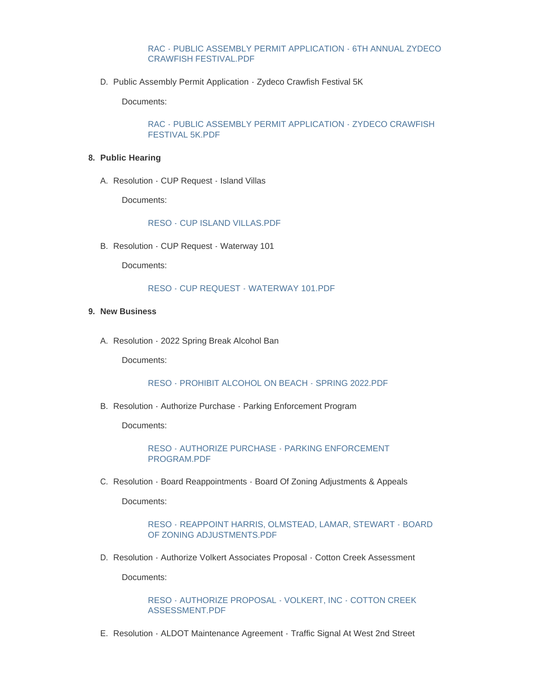#### [RAC - PUBLIC ASSEMBLY PERMIT APPLICATION - 6TH ANNUAL ZYDECO](https://www.gulfshoresal.gov/AgendaCenter/ViewFile/Item/9640?fileID=19863)  CRAWFISH FESTIVAL.PDF

D. Public Assembly Permit Application - Zydeco Crawfish Festival 5K

Documents:

[RAC - PUBLIC ASSEMBLY PERMIT APPLICATION - ZYDECO CRAWFISH](https://www.gulfshoresal.gov/AgendaCenter/ViewFile/Item/9639?fileID=19862)  FESTIVAL 5K.PDF

#### **Public Hearing 8.**

A. Resolution - CUP Request - Island Villas

Documents:

[RESO - CUP ISLAND VILLAS.PDF](https://www.gulfshoresal.gov/AgendaCenter/ViewFile/Item/9641?fileID=19867)

B. Resolution - CUP Request - Waterway 101

Documents:

# [RESO - CUP REQUEST - WATERWAY 101.PDF](https://www.gulfshoresal.gov/AgendaCenter/ViewFile/Item/9642?fileID=19868)

#### **New Business 9.**

A. Resolution - 2022 Spring Break Alcohol Ban

Documents:

[RESO - PROHIBIT ALCOHOL ON BEACH - SPRING 2022.PDF](https://www.gulfshoresal.gov/AgendaCenter/ViewFile/Item/9650?fileID=19874)

B. Resolution - Authorize Purchase - Parking Enforcement Program

Documents:

[RESO - AUTHORIZE PURCHASE - PARKING ENFORCEMENT](https://www.gulfshoresal.gov/AgendaCenter/ViewFile/Item/9647?fileID=19871)  PROGRAM.PDF

C. Resolution - Board Reappointments - Board Of Zoning Adjustments & Appeals

Documents:

#### [RESO - REAPPOINT HARRIS, OLMSTEAD, LAMAR, STEWART - BOARD](https://www.gulfshoresal.gov/AgendaCenter/ViewFile/Item/9651?fileID=19875)  OF ZONING ADJUSTMENTS.PDF

D. Resolution - Authorize Volkert Associates Proposal - Cotton Creek Assessment

Documents:

[RESO - AUTHORIZE PROPOSAL - VOLKERT, INC - COTTON CREEK](https://www.gulfshoresal.gov/AgendaCenter/ViewFile/Item/9646?fileID=19870)  ASSESSMENT.PDF

E. Resolution - ALDOT Maintenance Agreement - Traffic Signal At West 2nd Street